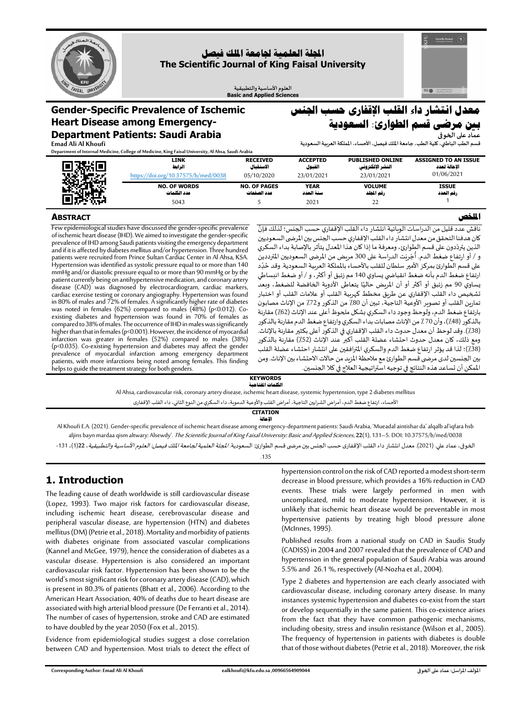B o



## **اجمللة العلمية جلامعة امللك فيصل The Scientific Journal of King Faisal University**

**العلوم األساسية والتطبيقية Basic and Applied Sciences**

## **Gender-Specific Prevalence of Ischemic Heart Disease among Emergency-Department Patients: Saudi Arabia**

# **معدل انتشار داء القلب اإلقفارى حسب اجلنس بني مرضى قسم الطوارئ: السعودية**

**قسم الطب الباطني، كلية الطب، جامعة امللك فيصل، األ حساء، اململكة العربية السعودية** 

**Emad Ali Al Khoufi**

**ABSTRACT**

**Department of Internal Medicine, College of Medicine, King Faisal University, Al Ahsa, Saudi Arabia**

|         | LINK                                | <b>RECEIVED</b>     | <b>ACCEPTED</b>    | <b>PUBLISHED ONLINE</b> | <b>ASSIGNED TO AN ISSUE</b> |  |
|---------|-------------------------------------|---------------------|--------------------|-------------------------|-----------------------------|--|
|         | الرابط                              | الاستقعال           | القبول             | الغشر الإلكتروني        | الاحالة لعدد                |  |
| a Terri | https://doi.org/10.37575/b/med/0038 | 05/10/2020          | 23/01/2021         | 23/01/2021              | 01/06/2021                  |  |
|         | <b>NO. OF WORDS</b>                 | <b>NO. OF PAGES</b> | <b>YEAR</b>        | <b>VOLUME</b>           | <b>ISSUE</b>                |  |
|         | عدد الكلمات<br>5043                 | عدد الصفحات         | سنبة العدد<br>2021 | رقم الجلد<br>22         | رقم العدد                   |  |

#### **امللخص**

**عماد على الخوفى** 

ناقش عدد قليل من الدراسات الوبائية انتشار داء القلب الإقفاري حسب الجنس؛ لذلك فإنَّ َّ كان هدفنا التحقق من معدل انتشار داء القلب الإقفاري حسب الجنس بين المرضى السعوديين الذين يتردّدون على قسم الطوارئ، ومعرفة ما إذا كان هذا المعدل يتأثر بالإصابة بداء السكري . تن<u>ين باردارن عن علمان الملور</u>ي. رسترت ما يد عن عند استعلى يتاثر بالإسباب بتاتر المستري<br>و / أو ارتفاع ضغط الدم. أُجْرِيَت الدراسة على 300 مريض من المرضى السعوديين المترددين ا<br>بر ا<br>پاک ر ۱٫۶٫۰٫ ركع حسب عليها البرت الفارسة على 500 مرتض من البرتين المسوديين المرتبي.<br>على قسم الطوارئ بمركز الأمير سلطان للقلب بالأحساء بالمملكة العربية السعودية. وقد خُدِّد ֦֧<u>֚</u> ارتفاع ضغط الدم بـأنه ضغط انقباض ي يساوي 140 مم زئبق أوأكثر، و / أو ضغط انبساطي يساوي 90 مم زئبق أو أكثر أو أن المريض حاليًا يتعاطى الأدوية الخافضة للضغط، وبعد ً تشخيص داء القلب اإلقفاري عن طريق مخطط كهربية القلب أو عالمات القلب أو اختبار تمارين القلب أو تصوير الأوعية التاجيّة، تبين أن 80٪ من الذكور و72٪ من الإناث مصابون بارتفاع ضغط الدم، ولوحظ وجود داء السكري بشكل ملحوظ أعلى عند الإناث (62)) مقارنة بالذكور (48/)، وأن 70 ٪ من الإناث مصابات بداء السكري وارتفاع ضغط الدم مقارنة بالذكور (38/). وقد لوحظ أن معدل حدوث داء القلب الإقفاري في الذكور أعلى بكثير مقارنة بالإناث. ومع ذلك، كان معدل حدوث احتشاء عضلة القلب أكبر عند اإلناث )٪52( مقارنة بالذكور (38٪)؛ لذا قد يؤثر ارتفاع ضغط الدم والسكري المترافقين على انتشار احتشاء عضلة القلب بين الجنسين لدى مرضى قسم الطوارئ مع ملاحظة المزيد من حالات الاحتشاء بين الإناث. ومن املمكن أن تساعد هذه النتائج في توجيه استراتيجية العالج في كال الجنسين. Few epidemiological studies have discussed the gender-specific prevalence of ischemic heart disease(IHD). We aimed to investigate the gender-specific prevalence of IHD among Saudi patients visiting the emergency department and if it is affected by diabetes mellitus and/or hypertension. Three hundred patients were recruited from Prince Sultan Cardiac Center in Al Ahsa, KSA. Hypertension was identified as systolic pressure equal to or more than 140 mmHg and/or diastolic pressure equal to or more than 90 mmHg or by the patient currently being on antihypertensive medication, and coronary artery disease (CAD) was diagnosed by electrocardiogram, cardiac markers, cardiac exercise testing or coronary angiography. Hypertension was found in 80% of males and 72% of females. A significantly higher rate of diabetes was noted in females (62%) compared to males (48%) (p<0.012). Coexisting diabetes and hypertension was found in 70% of females as compared to 38%of males. The occurrence of IHD in males was significantly higher than that in females (p<0.001). However, the incidence of myocardial infarction was greater in females (52%) compared to males (38%) (p<0.035). Co-existing hypertension and diabetes may affect the gender prevalence of myocardial infarction among emergency department patients, with more infarctions being noted among females. This finding

#### **KEYWORDS الكلمات املفتاحية**

Al Ahsa, cardiovascular risk, coronary artery disease, ischemic heart disease, systemic hypertension, type 2 diabetes mellitus

الأحساء، ارتفاع ضغط الدم، أمراض الشرايين التاجية، أمراض القلب والأوعية الدموية، داء السكري من النوع الثاني، داء القلب الإقفاري

**CITATION اإلحالة**

Al Khoufi E.A. (2021). Gender-specific prevalence of ischemic heart disease among emergency-department patients: Saudi Arabia, 'Mueadal aintishar da' alqalb al'iqfara hsb aljins bayn mardaa qism altwary: Alsewdy'. The Scientific Journal of King Faisal University: Basic and Applied Sciences, 22(1), 131–5. DOI: 10.37575/b/med/0038

الخوفى، عماد علي. (2021). معدل انتشار داء القلب الإقفارى حسب الجنس بين مرضى قسم الطوارئ: ال*سعودية. المجلة الجامعة الملك فيصل: العلوم الأساسية والتطبيقية*، 1222)، 131-

#### .135

## **1. Introduction**

helps to guide the treatment strategy for both genders.

The leading cause of death worldwide is still cardiovascular disease (Lopez, 1993). Two major risk factors for cardiovascular disease, including ischemic heart disease, cerebrovascular disease and peripheral vascular disease, are hypertension (HTN) and diabetes mellitus (DM) (Petrie et al., 2018). Mortality and morbidity of patients with diabetes originate from associated vascular complications (Kannel and McGee, 1979), hence the consideration of diabetes as a vascular disease. Hypertension is also considered an important cardiovascular risk factor. Hypertension has been shown to be the world's most significant risk for coronary artery disease (CAD), which is present in 80.3% of patients (Bhatt et al., 2006). According to the American Heart Association, 40% of deaths due to heart disease are associated with high arterial blood pressure (De Ferranti et al., 2014). The number of cases of hypertension, stroke and CAD are estimated to have doubled by the year 2050 (Fox et al., 2015).

Evidence from epidemiological studies suggest a close correlation between CAD and hypertension. Most trials to detect the effect of hypertension control on the risk of CAD reported a modest short-term decrease in blood pressure, which provides a 16% reduction in CAD events. These trials were largely performed in men with uncomplicated, mild to moderate hypertension. However, it is unlikely that ischemic heart disease would be preventable in most hypertensive patients by treating high blood pressure alone (McInnes, 1995).

Published results from a national study on CAD in Saudis Study (CADISS) in 2004 and 2007 revealed that the prevalence of CADand hypertension in the general population of Saudi Arabia was around 5.5% and 26.1 %, respectively (Al-Nozha et al., 2004).

Type 2 diabetes and hypertension are each clearly associated with cardiovascular disease, including coronary artery disease. In many instances systemic hypertension and diabetes co-exist from the start or develop sequentially in the same patient. This co-existence arises from the fact that they have common pathogenic mechanisms, including obesity, stress and insulin resistance (Wilson et al., 2005). The frequency of hypertension in patients with diabetes is double that of those without diabetes (Petrie et al., 2018). Moreover, the risk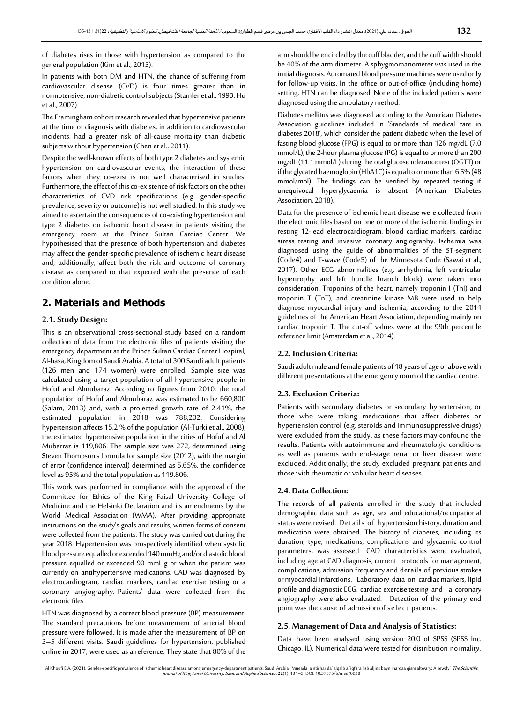of diabetes rises in those with hypertension as compared to the general population (Kim et al., 2015).

In patients with both DM and HTN, the chance of suffering from cardiovascular disease (CVD) is four times greater than in normotensive, non-diabetic controlsubjects (Stamler et al., 1993; Hu et al., 2007).

The Framingham cohort research revealed that hypertensive patients at the time of diagnosis with diabetes, in addition to cardiovascular incidents, had a greater risk of all-cause mortality than diabetic subjects without hypertension (Chen et al., 2011).

Despite the well-known effects of both type 2 diabetes and systemic hypertension on cardiovascular events, the interaction of these factors when they co-exist is not well characterised in studies. Furthermore, the effect of this co-existence of risk factors on the other characteristics of CVD risk specifications (e.g. gender-specific prevalence, severity or outcome) is not well studied. In this study we aimed to ascertain the consequences of co-existing hypertension and type 2 diabetes on ischemic heart disease in patients visiting the emergency room at the Prince Sultan Cardiac Center. We hypothesised that the presence of both hypertension and diabetes may affect the gender-specific prevalence of ischemic heart disease and, additionally, affect both the risk and outcome of coronary disease as compared to that expected with the presence of each condition alone.

## **2. Materials and Methods**

#### **2.1.Study Design:**

This is an observational cross-sectional study based on a random collection of data from the electronic files of patients visiting the emergency department at the Prince Sultan Cardiac Center Hospital, Al-hasa, Kingdom of Saudi Arabia. A total of 300 Saudi adult patients (126 men and 174 women) were enrolled. Sample size was calculated using a target population of all hypertensive people in Hofuf and Almubaraz. According to figures from 2010, the total population of Hofuf and Almubaraz was estimated to be 660,800 (Salam, 2013) and, with a projected growth rate of 2.41%, the estimated population in 2018 was 788,202. Considering hypertension affects 15.2 % of the population (Al-Turki et al., 2008), the estimated hypertensive population in the cities of Hofuf and Al Mubarraz is 119,806. The sample size was 272, determined using **S**teven Thompson's formula for sample size (2012), with the margin of error (confidence interval) determined as 5.65%, the confidence level as 95%and the total population as 119,806.

This work was performed in compliance with the approval of the Committee for Ethics of the King Faisal University College of Medicine and the Helsinki Declaration and its amendments by the World Medical Association (WMA). After providing appropriate instructions on the study's goals and results, written forms of consent were collected from the patients. The study was carried out during the year 2018. Hypertension was prospectively identified when systolic blood pressure equalledor exceeded 140 mmHg and/or diastolicblood pressure equalled or exceeded 90 mmHg or when the patient was currently on antihypertensive medications. CAD was diagnosed by electrocardiogram, cardiac markers, cardiac exercise testing or a coronary angiography. Patients' data were collected from the electronic files.

HTN was diagnosed by a correct blood pressure (BP) measurement. The standard precautions before measurement of arterial blood pressure were followed. It is made after the measurement of BP on 3–5 different visits. Saudi guidelines for hypertension, published online in 2017, were used as a reference. They state that 80% of the arm should be encircled by the cuff bladder, and the cuff width should be 40% of the arm diameter. A sphygmomanometer was used in the initial diagnosis. Automated blood pressure machines were used only for follow-up visits. In the office or out-of-office (including home) setting, HTN can be diagnosed. None of the included patients were diagnosed using the ambulatory method.

Diabetes mellitus was diagnosed according to the American Diabetes Association guidelines included in 'Standards of medical care in diabetes 2018', which consider the patient diabetic when the level of fasting blood glucose (FPG) is equal to or more than 126 mg/dL (7.0 mmol/L), the 2-hour plasma glucose (PG) is equal to or more than 200 mg/dL (11.1 mmol/L) during the oral glucose tolerance test (OGTT) or if the glycated haemoglobin (HbA1C) is equal to or more than 6.5%(48 mmol/mol). The findings can be verified by repeated testing if unequivocal hyperglycaemia is absent (American Diabetes Association, 2018).

Data for the presence of ischemic heart disease were collected from the electronic files based on one or more of the ischemic findings in resting 12-lead electrocardiogram, blood cardiac markers, cardiac stress testing and invasive coronary angiography. Ischemia was diagnosed using the guide of abnormalities of the ST-segment (Code4) and T-wave (Code5) of the Minnesota Code (Sawai et al., 2017). Other ECG abnormalities (e.g. arrhythmia, left ventricular hypertrophy and left bundle branch block) were taken into consideration. Troponins of the heart, namely troponin I (TnI) and troponin T (TnT), and creatinine kinase MB were used to help diagnose myocardial injury and ischemia, according to the 2014 guidelines of the American Heart Association, depending mainly on cardiac troponin T. The cut-off values were at the 99th percentile reference limit (Amsterdam et al., 2014).

#### **2.2. Inclusion Criteria:**

Saudi adult male and female patients of 18 years of age or above with different presentations at the emergency room of the cardiac centre.

#### **2.3.Exclusion Criteria:**

Patients with secondary diabetes or secondary hypertension, or those who were taking medications that affect diabetes or hypertension control (e.g. steroids and immunosuppressive drugs) were excluded from the study, as these factors may confound the results. Patients with autoimmune and rheumatologic conditions as well as patients with end-stage renal or liver disease were excluded. Additionally, the study excluded pregnant patients and those with rheumatic or valvular heart diseases.

#### **2.4. Data Collection:**

The records of all patients enrolled in the study that included demographic data such as age, sex and educational/occupational status were revised. Details of hypertension history, duration and medication were obtained. The history of diabetes, including its duration, type, medications, complications and glycaemic control parameters, was assessed. CAD characteristics were evaluated, including age at CAD diagnosis, current protocols for management, complications, admission frequencyand details of previous strokes or myocardial infarctions. Laboratory data on cardiac markers, lipid profile and diagnostic ECG, cardiac exercise testing and a coronary angiography were also evaluated. Detection of the primary end point was the cause of admission of select patients.

### **2.5. Management of Data and Analysis of Statistics:**

Data have been analysed using version 20.0 of SPSS (SPSS Inc. Chicago, IL). Numerical data were tested for distribution normality.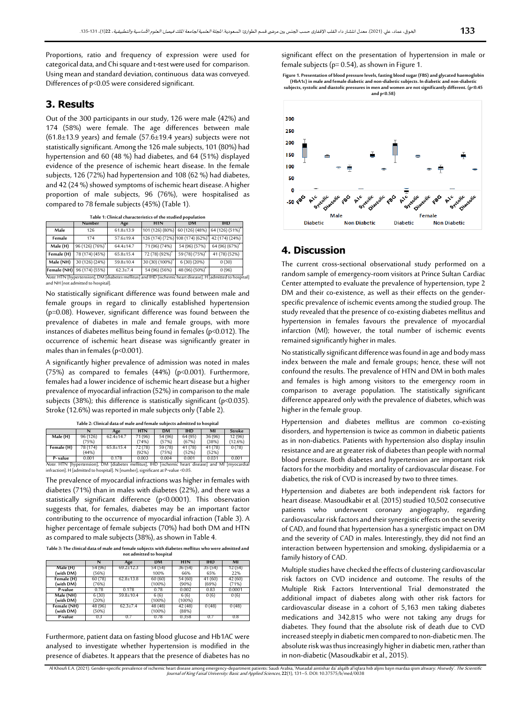Proportions, ratio and frequency of expression were used for categorical data, and Chi square and t-test were used for comparison. Using mean and standard deviation, continuous data was conveyed. Differences of p<0.05 were considered significant.

## **3. Results**

Out of the 300 participants in our study, 126 were male (42%) and 174 (58%) were female. The age differences between male  $(61.8\pm13.9 \text{ years})$  and female  $(57.6\pm19.4 \text{ years})$  subjects were not statistically significant. Among the 126 male subjects, 101 (80%) had hypertension and 60 (48 %) had diabetes, and 64 (51%) displayed evidence of the presence of ischemic heart disease. In the female subjects, 126 (72%) had hypertension and 108 (62 %) had diabetes, and 42 (24 %) showed symptoms of ischemic heart disease. A higher proportion of male subjects, 96 (76%), were hospitalised as compared to 78 female subjects (45%) (Table 1).

**Table 1: Clinical characteristics of the studied population**

|                                                                                                                                                   | Number                      | Age             | HTN                                                        | DM                         | THD             |  |
|---------------------------------------------------------------------------------------------------------------------------------------------------|-----------------------------|-----------------|------------------------------------------------------------|----------------------------|-----------------|--|
| Male                                                                                                                                              | 126                         | $61.8 + 13.9$   | 101 (126) (80%) 60 (126) (48%) 64 (126) (51%) <sup>*</sup> |                            |                 |  |
| Female                                                                                                                                            | 174                         | 57.6±19.4       | 126 (174) (72%) 108 (174) (62%) <sup>*</sup>               |                            | 42 (174) (24%)  |  |
| Male (H)                                                                                                                                          | 96 (126) (76%) <sup>*</sup> | 64.4±14.7       | 71 (96) (74%)                                              | 54 (96) (57%)              | $64(96)(67%)^*$ |  |
| Female (H)                                                                                                                                        | 78 (174) (45%)              | $65.8 \pm 15.4$ | 72 (78) (92%) <sup>*</sup>                                 | 59 (78) (75%) <sup>*</sup> | 41 (78) (52%)   |  |
| Male (NH)                                                                                                                                         | 30 (126) (24%)              | $59.8 \pm 10.4$ | 30 (30) (100%) <sup>*</sup>                                | 6(30)(20%)                 | 0(30)           |  |
|                                                                                                                                                   | Female (NH) 96 (174) (55%)  | $62.3 \pm 7.4$  | 54 (96) (56%)                                              | 48 (96) (50%) <sup>*</sup> | 0(96)           |  |
| Note. HTN [hypertension], DM [diabetes mellitus] and IHD [ischemic heart disease]. H [admitted to hospital]<br>and NH [not admitted to hospital]. |                             |                 |                                                            |                            |                 |  |

No statistically significant difference was found between male and female groups in regard to clinically established hypertension (p=0.08). However, significant difference was found between the prevalence of diabetes in male and female groups, with more instances of diabetes mellitus being found in females (p<0.012). The occurrence of ischemic heart disease was significantly greater in males than in females (p<0.001).

A significantly higher prevalence of admission was noted in males (75%) as compared to females (44%) (p<0.001). Furthermore, females had a lower incidence of ischemic heart disease but a higher prevalence of myocardial infraction (52%) in comparison to the male subjects (38%); this difference is statistically significant (p<0.035). Stroke (12.6%) was reported in male subjects only (Table 2).

|                                                                                                    |          | Age             | <b>HTN</b> | DМ      | IHD     |         | <b>Stroke</b> |
|----------------------------------------------------------------------------------------------------|----------|-----------------|------------|---------|---------|---------|---------------|
| Male (H)                                                                                           | 96 (126) | $62.4 \pm 14.7$ | 71 (96)    | 54 (96) | 64 (95) | 36 (96) | 12 (96)       |
|                                                                                                    | (75%)    |                 | (74%)      | (57%)   | (67%)   | (38%)   | (12.6%)       |
| Female (H)                                                                                         | 78 (174) | $65.8 \pm 15.4$ | 72 (78)    | 59 (78) | 41 (78) | 41 (78) | 0(78)         |
|                                                                                                    | (44%)    |                 | (92%)      | (75%)   | (52%)   | (52%)   |               |
| P-value                                                                                            | 0.001    | 0.178           | 0.003      | 0.004   | 0.001   | 0.031   | 0.001         |
| Note. HTN [hypertension], DM [diabetes mellitus], IHD [ischemic heart disease] and MI [myocardial] |          |                 |            |         |         |         |               |
| infraction]. H [admitted to hospital]. N [number], significant at P-value <0.05.                   |          |                 |            |         |         |         |               |

**Table 2: Clinical data of male and female subjects admitted to hospital**

The prevalence of myocardial infractions was higher in females with diabetes (71%) than in males with diabetes (22%), and there was a statistically significant difference (p<0.0001). This observation suggests that, for females, diabetes may be an important factor contributing to the occurrence of myocardial infraction (Table 3). A higher percentage of female subjects (70%) had both DM and HTN as compared to male subjects (38%), as shown in Table 4.

**Table 3: The clinical data of male and female subjects with diabetes mellitus who were admitted and not admitted to hospital**

|                          | N                | Age             | <b>DM</b>            | <b>HTN</b>        | <b>IHD</b>       | MI               |
|--------------------------|------------------|-----------------|----------------------|-------------------|------------------|------------------|
| Male (H)<br>(with DM)    | 54 (96)<br>(56%) | $69.2 \pm 12.3$ | 54 (54)<br>100%      | 36 (54)<br>66%    | 35 (54)<br>65%   | 12 (54)<br>22%   |
| Female (H)<br>(with DM)  | 60 (78)<br>(76%) | $62.8 \pm 13.8$ | 60 (60)<br>$(100\%)$ | 54 (60)<br>(90%)  | 41 (60)<br>(69%) | 42 (60)<br>(71%) |
| P-value                  | 0.78             | 0.178           | 0.78                 | 0.002             | 0.83             | 0.0001           |
| Male (NH)<br>(with DM)   | 6(30)<br>(20%)   | $59.8 \pm 10.4$ | 6(6)<br>$(100\%)$    | 6(6)<br>$(100\%)$ | 0(6)             | 0(6)             |
| Female (NH)<br>(with DM) | 48 (96)<br>(50%) | $62.3 \pm 7.4$  | 48 (48)<br>$(100\%)$ | 42 (48)<br>(88%)  | 0(48)            | 0(48)            |
| P-value                  | 0.3              | 0.7             | 0.78                 | 0.358             | 05               | 0.8              |

Furthermore, patient data on fasting blood glucose and Hb1AC were analysed to investigate whether hypertension is modified in the presence of diabetes. It appears that the presence of diabetes has no

significant effect on the presentation of hypertension in male or female subjects ( $p= 0.54$ ), as shown in Figure 1.

Figure 1. Presentation of blood pressure levels, fasting blood sugar (FBS) and glycated haemoglobin<br>(HbA1c) in male and female diabetic and formal of the subjects. In diabetic and non-diabetic<br>subjects, systolic and diast **and p<0.58)**



## **4. Discussion**

The current cross-sectional observational study performed on a random sample of emergency-room visitors at Prince Sultan Cardiac Center attempted to evaluate the prevalence of hypertension, type 2 DM and their co-existence, as well as their effects on the genderspecific prevalence of ischemic events among the studied group. The study revealed that the presence of co-existing diabetes mellitus and hypertension in females favours the prevalence of myocardial infarction (MI); however, the total number of ischemic events remained significantly higher in males.

No statistically significant difference was found in age and body mass index between the male and female groups; hence, these will not confound the results. The prevalence of HTN and DM in both males and females is high among visitors to the emergency room in comparison to average population. The statistically significant difference appeared only with the prevalence of diabetes, which was higher in the female group.

Hypertension and diabetes mellitus are common co-existing disorders, and hypertension is twice as common in diabetic patients as in non-diabetics. Patients with hypertension also display insulin resistance and are at greater risk of diabetes than people with normal blood pressure. Both diabetes and hypertension are important risk factors for the morbidity and mortality of cardiovascular disease. For diabetics, the risk of CVD is increased by two to three times.

Hypertension and diabetes are both independent risk factors for heart disease. Masoudkabir et al. (2015) studied 10,502 consecutive patients who underwent coronary angiography, regarding cardiovascular risk factors and their synergistic effects on the severity of CAD,and found that hypertension has a synergistic impact on DM and the severity of CAD in males. Interestingly, they did not find an interaction between hypertension and smoking, dyslipidaemia or a family history of CAD.

Multiple studies have checked the effects of clustering cardiovascular risk factors on CVD incidence and outcome. The results of the Multiple Risk Factors Interventional Trial demonstrated the additional impact of diabetes along with other risk factors for cardiovascular disease in a cohort of 5,163 men taking diabetes medications and 342,815 who were not taking any drugs for diabetes. They found that the absolute risk of death due to CVD increased steeply in diabetic men compared to non-diabetic men. The absolute risk was thus increasingly higher in diabetic men, rather than in non-diabetic (Masoudkabir et al., 2015).

Al Khoufi E.A. (2021). Gender-specific prevalence of ischemic heart disease among emergency-department patients: Saudi Arabia, 'Mueadal aintishar da' alqalb al'iqfara hsb aljins bayn mardaa qism altwary: Alsewdy'. *The Sci*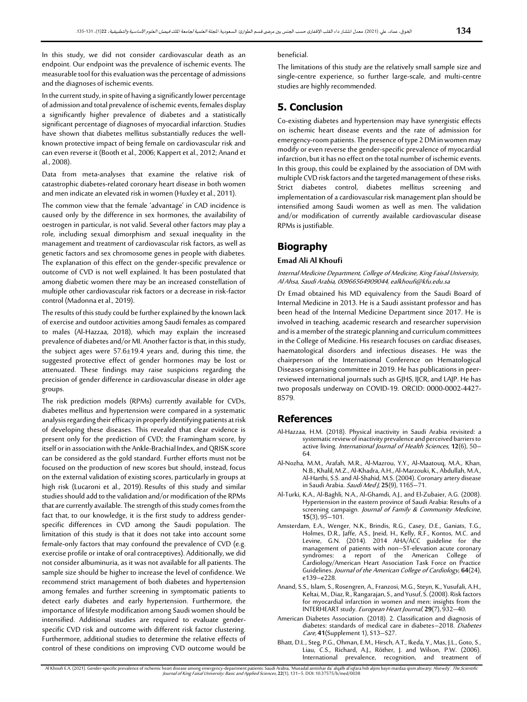In this study, we did not consider cardiovascular death as an endpoint. Our endpoint was the prevalence of ischemic events. The measurable tool for this evaluation was the percentage of admissions and the diagnoses of ischemic events.

In the current study, in spite of having asignificantly lower percentage of admission and total prevalence of ischemic events, females display a significantly higher prevalence of diabetes and a statistically significant percentage of diagnoses of myocardial infarction. Studies have shown that diabetes mellitus substantially reduces the wellknown protective impact of being female on cardiovascular risk and can even reverse it (Booth et al., 2006; Kappert et al., 2012; Anand et al., 2008).

Data from meta-analyses that examine the relative risk of catastrophic diabetes-related coronary heart disease in both women and men indicate an elevated risk in women (Huxley et al., 2011).

The common view that the female 'advantage' in CAD incidence is caused only by the difference in sex hormones, the availability of oestrogen in particular, is not valid. Several other factors may play a role, including sexual dimorphism and sexual inequality in the management and treatment of cardiovascular risk factors, as well as genetic factors and sex chromosome genes in people with diabetes. The explanation of this effect on the gender-specific prevalence or outcome of CVD is not well explained. It has been postulated that among diabetic women there may be an increased constellation of multiple other cardiovascular risk factors or a decrease in risk-factor control (Madonna et al., 2019).

The results of this study could be further explained by the known lack of exercise and outdoor activities among Saudi females as compared to males (Al-Hazzaa, 2018), which may explain the increased prevalence of diabetes and/or MI. Another factor is that, in this study, the subject ages were 57.6±19.4 years and, during this time, the suggested protective effect of gender hormones may be lost or attenuated. These findings may raise suspicions regarding the precision of gender difference in cardiovascular disease in older age groups.

The risk prediction models (RPMs) currently available for CVDs, diabetes mellitus and hypertension were compared in a systematic analysis regarding their efficacy in properly identifying patients at risk of developing these diseases. This revealed that clear evidence is present only for the prediction of CVD; the Framingham score, by itself or in association with the Ankle-Brachial Index, and QRISK score can be considered as the gold standard. Further efforts must not be focused on the production of new scores but should, instead, focus on the external validation of existing scores, particularly in groups at high risk (Lucaroni et al., 2019). Results of this study and similar studies should add to the validation and/or modification of the RPMs that are currently available. The strength of this study comes from the fact that, to our knowledge, it is the first study to address genderspecific differences in CVD among the Saudi population. The limitation of this study is that it does not take into account some female-only factors that may confound the prevalence of CVD (e.g. exercise profile or intake of oral contraceptives). Additionally, we did not consider albuminuria, as it was not available for all patients. The sample size should be higher to increase the level of confidence. We recommend strict management of both diabetes and hypertension among females and further screening in symptomatic patients to detect early diabetes and early hypertension. Furthermore, the importance of lifestyle modification among Saudi women should be intensified. Additional studies are required to evaluate genderspecific CVD risk and outcome with different risk factor clustering. Furthermore, additional studies to determine the relative effects of control of these conditions on improving CVD outcome would be

#### beneficial.

The limitations of this study are the relatively small sample size and single-centre experience, so further large-scale, and multi-centre studies are highly recommended.

## **5. Conclusion**

Co-existing diabetes and hypertension may have synergistic effects on ischemic heart disease events and the rate of admission for emergency-room patients. The presence of type 2 DM in women may modify or even reverse the gender-specific prevalence of myocardial infarction, but it has no effect on the total number of ischemic events. In this group, this could be explained by the association of DM with multiple CVD risk factors and the targeted management of these risks. Strict diabetes control, diabetes mellitus screening and implementation of a cardiovascular risk management plan should be intensified among Saudi women as well as men. The validation and/or modification of currently available cardiovascular disease RPMs is justifiable.

### **Biography**

#### **Emad Ali Al Khoufi**

Internal Medicine Department, College of Medicine, King Faisal University, Al Ahsa, Saudi Arabia, 00966564909044, ealkhoufi@kfu.edu.sa

Dr Emad obtained his MD equivalency from the Saudi Board of Internal Medicine in 2013. He is a Saudi assistant professor and has been head of the Internal Medicine Department since 2017. He is involved in teaching, academic research and researcher supervision and is a member of the strategic planning and curriculum committees in the College of Medicine. His research focuses on cardiac diseases, haematological disorders and infectious diseases. He was the chairperson of the International Conference on Hematological Diseases organising committee in 2019. He has publications in peerreviewed international journals such as GJHS, IJCR, and LAJP. He has two proposals underway on COVID-19. ORCID: 0000-0002-4427- 8579.

## **References**

- Al-Hazzaa, H.M. (2018). Physical inactivity in Saudi Arabia revisited: a systematic review of inactivity prevalence and perceived barriers to active living. International Journal of Health Sciences, **12**(6), 50– 64.
- Al-Nozha, M.M., Arafah, M.R., Al-Mazrou, Y.Y., Al-Maatouq, M.A., Khan, N.B., Khalil, M.Z., Al-Khadra, A.H., Al-Marzouki, K., Abdullah, M.A., Al-Harthi, S.S. and Al-Shahid, M.S. (2004). Coronary artery disease in Saudi Arabia. Saudi Med J, **25**(9), 1165–71.
- Al-Turki, K.A., Al-Baghli, N.A., Al-Ghamdi, A.J., and El-Zubaier, A.G. (2008). Hypertension in the eastern province of Saudi Arabia: Results of a screening campaign. Journal of Family & Community Medicine, **15**(3), 95–101.
- Amsterdam, E.A., Wenger, N.K., Brindis, R.G., Casey, D.E., Ganiats, T.G., Holmes, D.R., Jaffe, A.S., Jneid, H., Kelly, R.F., Kontos, M.C. and Levine, G.N. (2014). 2014 AHA/ACC guideline for the management of patients with non–ST-elevation acute coronary syndromes: a report of the American College of Cardiology/American Heart Association Task Force on Practice Guidelines. Journal of the American College of Cardiology, **64**(24), e139–e228.
- Anand, S.S., Islam, S., Rosengren, A., Franzosi, M.G., Steyn, K., Yusufali, A.H., Keltai, M., Diaz, R., Rangarajan, S., and Yusuf, S. (2008). Risk factors for myocardial infarction in women and men: insights from the INTERHEART study. European Heart Journal, **29**(7), 932–40.
- American Diabetes Association. (2018). 2. Classification and diagnosis of diabetes: standards of medical care in diabetes–2018. Diabetes Care, **41**(Supplement 1), S13–S27.
- Bhatt, D.L., Steg, P.G., Ohman, E.M., Hirsch, A.T., Ikeda, Y., Mas, J.L., Goto, S., Liau, C.S., Richard, A.J., Röther, J. and Wilson, P.W. (2006). International prevalence, recognition, and treatment of

Al Khoufi E.A. (2021). Gender-specific prevalence of ischemic heart disease among emergency-department patients: Saudi Arabia, 'Mueadal aintishar da' alqalb al'iqfara hsb aljins bayn mardaa qism altwary: Alsewdy'. *The Sci*